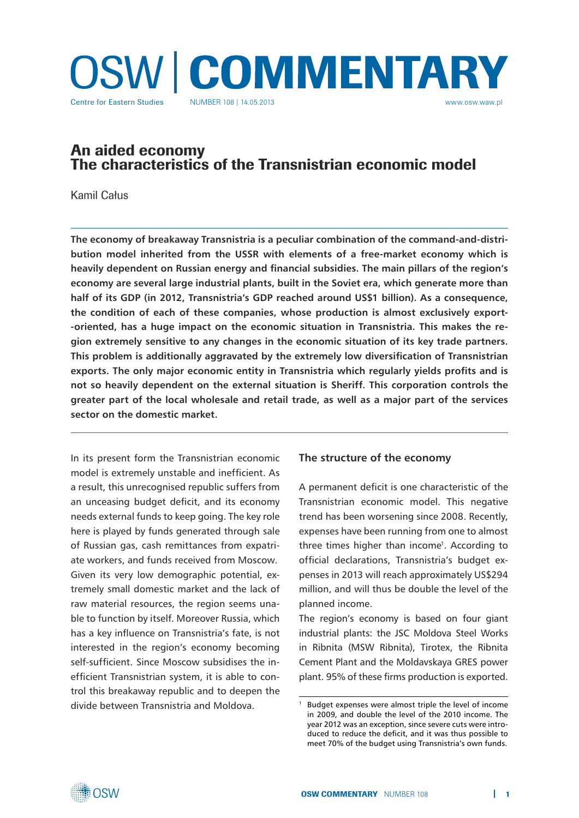

# An aided economy The characteristics of the Transnistrian economic model

Kamil Całus

**The economy of breakaway Transnistria is a peculiar combination of the command-and-distribution model inherited from the USSR with elements of a free-market economy which is heavily dependent on Russian energy and financial subsidies. The main pillars of the region's economy are several large industrial plants, built in the Soviet era, which generate more than half of its GDP (in 2012, Transnistria's GDP reached around US\$1 billion). As a consequence, the condition of each of these companies, whose production is almost exclusively export- -oriented, has a huge impact on the economic situation in Transnistria. This makes the region extremely sensitive to any changes in the economic situation of its key trade partners. This problem is additionally aggravated by the extremely low diversification of Transnistrian exports. The only major economic entity in Transnistria which regularly yields profits and is not so heavily dependent on the external situation is Sheriff. This corporation controls the greater part of the local wholesale and retail trade, as well as a major part of the services sector on the domestic market.** 

In its present form the Transnistrian economic model is extremely unstable and inefficient. As a result, this unrecognised republic suffers from an unceasing budget deficit, and its economy needs external funds to keep going. The key role here is played by funds generated through sale of Russian gas, cash remittances from expatriate workers, and funds received from Moscow. Given its very low demographic potential, extremely small domestic market and the lack of raw material resources, the region seems unable to function by itself. Moreover Russia, which has a key influence on Transnistria's fate, is not interested in the region's economy becoming self-sufficient. Since Moscow subsidises the inefficient Transnistrian system, it is able to control this breakaway republic and to deepen the divide between Transnistria and Moldova.

## **The structure of the economy**

A permanent deficit is one characteristic of the Transnistrian economic model. This negative trend has been worsening since 2008. Recently, expenses have been running from one to almost three times higher than income<sup>1</sup>. According to official declarations, Transnistria's budget expenses in 2013 will reach approximately US\$294 million, and will thus be double the level of the planned income.

The region's economy is based on four giant industrial plants: the JSC Moldova Steel Works in Ribnita (MSW Ribnita), Tirotex, the Ribnita Cement Plant and the Moldavskaya GRES power plant. 95% of these firms production is exported.

<sup>1</sup> Budget expenses were almost triple the level of income in 2009, and double the level of the 2010 income. The year 2012 was an exception, since severe cuts were introduced to reduce the deficit, and it was thus possible to meet 70% of the budget using Transnistria's own funds.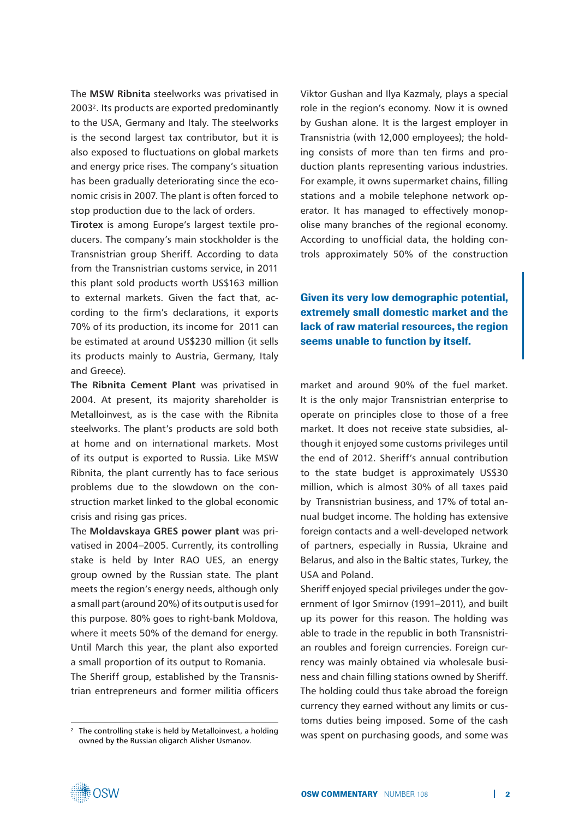The **MSW Ribnita** steelworks was privatised in 20032. Its products are exported predominantly to the USA, Germany and Italy. The steelworks is the second largest tax contributor, but it is also exposed to fluctuations on global markets and energy price rises. The company's situation has been gradually deteriorating since the economic crisis in 2007. The plant is often forced to stop production due to the lack of orders.

**Tirotex** is among Europe's largest textile producers. The company's main stockholder is the Transnistrian group Sheriff. According to data from the Transnistrian customs service, in 2011 this plant sold products worth US\$163 million to external markets. Given the fact that, according to the firm's declarations, it exports 70% of its production, its income for 2011 can be estimated at around US\$230 million (it sells its products mainly to Austria, Germany, Italy and Greece).

**The Ribnita Cement Plant** was privatised in 2004. At present, its majority shareholder is Metalloinvest, as is the case with the Ribnita steelworks. The plant's products are sold both at home and on international markets. Most of its output is exported to Russia. Like MSW Ribnita, the plant currently has to face serious problems due to the slowdown on the construction market linked to the global economic crisis and rising gas prices.

The **Moldavskaya GRES power plant** was privatised in 2004–2005. Currently, its controlling stake is held by Inter RAO UES, an energy group owned by the Russian state. The plant meets the region's energy needs, although only a small part (around 20%) of its output is used for this purpose. 80% goes to right-bank Moldova, where it meets 50% of the demand for energy. Until March this year, the plant also exported a small proportion of its output to Romania.

The Sheriff group, established by the Transnistrian entrepreneurs and former militia officers Viktor Gushan and Ilya Kazmaly, plays a special role in the region's economy. Now it is owned by Gushan alone. It is the largest employer in Transnistria (with 12,000 employees); the holding consists of more than ten firms and production plants representing various industries. For example, it owns supermarket chains, filling stations and a mobile telephone network operator. It has managed to effectively monopolise many branches of the regional economy. According to unofficial data, the holding controls approximately 50% of the construction

Given its very low demographic potential, extremely small domestic market and the lack of raw material resources, the region seems unable to function by itself.

market and around 90% of the fuel market. It is the only major Transnistrian enterprise to operate on principles close to those of a free market. It does not receive state subsidies, although it enjoyed some customs privileges until the end of 2012. Sheriff's annual contribution to the state budget is approximately US\$30 million, which is almost 30% of all taxes paid by Transnistrian business, and 17% of total annual budget income. The holding has extensive foreign contacts and a well-developed network of partners, especially in Russia, Ukraine and Belarus, and also in the Baltic states, Turkey, the USA and Poland.

Sheriff enjoyed special privileges under the government of Igor Smirnov (1991–2011), and built up its power for this reason. The holding was able to trade in the republic in both Transnistrian roubles and foreign currencies. Foreign currency was mainly obtained via wholesale business and chain filling stations owned by Sheriff. The holding could thus take abroad the foreign currency they earned without any limits or customs duties being imposed. Some of the cash was spent on purchasing goods, and some was



<sup>&</sup>lt;sup>2</sup> The controlling stake is held by Metalloinvest, a holding owned by the Russian oligarch Alisher Usmanov.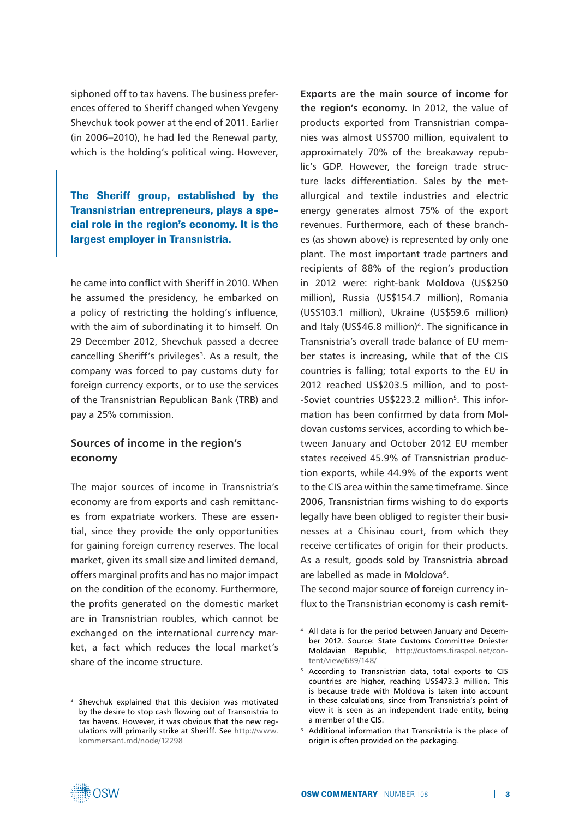siphoned off to tax havens. The business preferences offered to Sheriff changed when Yevgeny Shevchuk took power at the end of 2011. Earlier (in 2006–2010), he had led the Renewal party, which is the holding's political wing. However,

The Sheriff group, established by the Transnistrian entrepreneurs, plays a special role in the region's economy. It is the largest employer in Transnistria.

he came into conflict with Sheriff in 2010. When he assumed the presidency, he embarked on a policy of restricting the holding's influence, with the aim of subordinating it to himself. On 29 December 2012, Shevchuk passed a decree cancelling Sheriff's privileges<sup>3</sup>. As a result, the company was forced to pay customs duty for foreign currency exports, or to use the services of the Transnistrian Republican Bank (TRB) and pay a 25% commission.

## **Sources of income in the region's economy**

The major sources of income in Transnistria's economy are from exports and cash remittances from expatriate workers. These are essential, since they provide the only opportunities for gaining foreign currency reserves. The local market, given its small size and limited demand, offers marginal profits and has no major impact on the condition of the economy. Furthermore, the profits generated on the domestic market are in Transnistrian roubles, which cannot be exchanged on the international currency market, a fact which reduces the local market's share of the income structure.

**Exports are the main source of income for the region's economy.** In 2012, the value of products exported from Transnistrian companies was almost US\$700 million, equivalent to approximately 70% of the breakaway republic's GDP. However, the foreign trade structure lacks differentiation. Sales by the metallurgical and textile industries and electric energy generates almost 75% of the export revenues. Furthermore, each of these branches (as shown above) is represented by only one plant. The most important trade partners and recipients of 88% of the region's production in 2012 were: right-bank Moldova (US\$250 million), Russia (US\$154.7 million), Romania (US\$103.1 million), Ukraine (US\$59.6 million) and Italy (US\$46.8 million)<sup>4</sup>. The significance in Transnistria's overall trade balance of EU member states is increasing, while that of the CIS countries is falling; total exports to the EU in 2012 reached US\$203.5 million, and to post- -Soviet countries US\$223.2 million<sup>5</sup>. This information has been confirmed by data from Moldovan customs services, according to which between January and October 2012 EU member states received 45.9% of Transnistrian production exports, while 44.9% of the exports went to the CIS area within the same timeframe. Since 2006, Transnistrian firms wishing to do exports legally have been obliged to register their businesses at a Chisinau court, from which they receive certificates of origin for their products. As a result, goods sold by Transnistria abroad are labelled as made in Moldova<sup>6</sup>.

The second major source of foreign currency influx to the Transnistrian economy is **cash remit-**



<sup>&</sup>lt;sup>3</sup> Shevchuk explained that this decision was motivated by the desire to stop cash flowing out of Transnistria to tax havens. However, it was obvious that the new regulations will primarily strike at Sheriff. See [http://www.](http://www.kommersant.md/node/12298) [kommersant.md/node/12298](http://www.kommersant.md/node/12298)

All data is for the period between January and December 2012. Source: State Customs Committee Dniester Moldavian Republic, [http://customs.tiraspol.net/con](http://customs.tiraspol.net/content/view/689/148/)[tent/view/689/148/](http://customs.tiraspol.net/content/view/689/148/)

<sup>5</sup> According to Transnistrian data, total exports to CIS countries are higher, reaching US\$473.3 million. This is because trade with Moldova is taken into account in these calculations, since from Transnistria's point of view it is seen as an independent trade entity, being a member of the CIS.

Additional information that Transnistria is the place of origin is often provided on the packaging.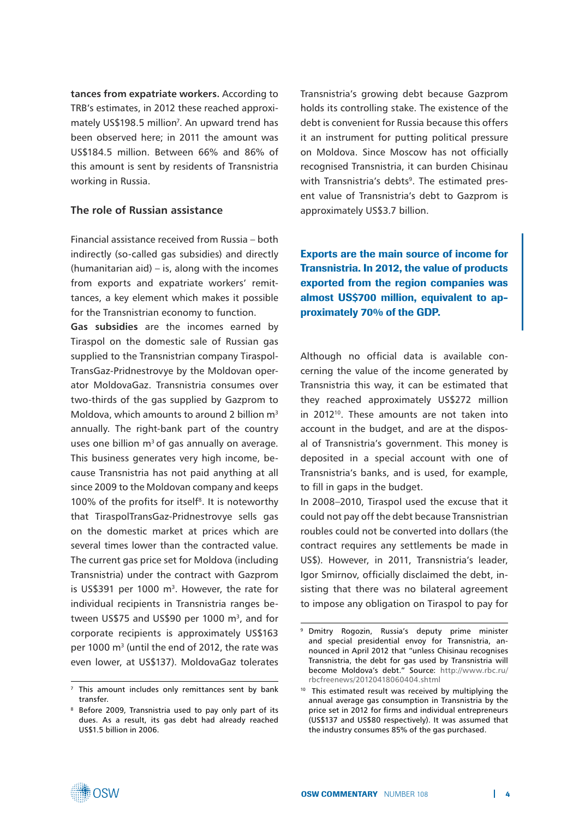**tances from expatriate workers.** According to TRB's estimates, in 2012 these reached approximately US\$198.5 million<sup>7</sup>. An upward trend has been observed here; in 2011 the amount was US\$184.5 million. Between 66% and 86% of this amount is sent by residents of Transnistria working in Russia.

## **The role of Russian assistance**

Financial assistance received from Russia – both indirectly (so-called gas subsidies) and directly (humanitarian aid) – is, along with the incomes from exports and expatriate workers' remittances, a key element which makes it possible for the Transnistrian economy to function.

**Gas subsidies** are the incomes earned by Tiraspol on the domestic sale of Russian gas supplied to the Transnistrian company Tiraspol-TransGaz-Pridnestrovye by the Moldovan operator MoldovaGaz. Transnistria consumes over two-thirds of the gas supplied by Gazprom to Moldova, which amounts to around 2 billion m<sup>3</sup> annually. The right-bank part of the country uses one billion  $m<sup>3</sup>$  of gas annually on average. This business generates very high income, because Transnistria has not paid anything at all since 2009 to the Moldovan company and keeps 100% of the profits for itself<sup>8</sup>. It is noteworthy that TiraspolTransGaz-Pridnestrovye sells gas on the domestic market at prices which are several times lower than the contracted value. The current gas price set for Moldova (including Transnistria) under the contract with Gazprom is US\$391 per 1000 m<sup>3</sup>. However, the rate for individual recipients in Transnistria ranges between US\$75 and US\$90 per 1000  $\text{m}^3$ , and for corporate recipients is approximately US\$163 per 1000 m3 (until the end of 2012, the rate was even lower, at US\$137). MoldovaGaz tolerates Transnistria's growing debt because Gazprom holds its controlling stake. The existence of the debt is convenient for Russia because this offers it an instrument for putting political pressure on Moldova. Since Moscow has not officially recognised Transnistria, it can burden Chisinau with Transnistria's debts<sup>9</sup>. The estimated present value of Transnistria's debt to Gazprom is approximately US\$3.7 billion.

Exports are the main source of income for Transnistria. In 2012, the value of products exported from the region companies was almost US\$700 million, equivalent to approximately 70% of the GDP.

Although no official data is available concerning the value of the income generated by Transnistria this way, it can be estimated that they reached approximately US\$272 million in 2012<sup>10</sup>. These amounts are not taken into account in the budget, and are at the disposal of Transnistria's government. This money is deposited in a special account with one of Transnistria's banks, and is used, for example, to fill in gaps in the budget.

In 2008–2010, Tiraspol used the excuse that it could not pay off the debt because Transnistrian roubles could not be converted into dollars (the contract requires any settlements be made in US\$). However, in 2011, Transnistria's leader, Igor Smirnov, officially disclaimed the debt, insisting that there was no bilateral agreement to impose any obligation on Tiraspol to pay for



<sup>&</sup>lt;sup>7</sup> This amount includes only remittances sent by bank transfer.

<sup>8</sup> Before 2009, Transnistria used to pay only part of its dues. As a result, its gas debt had already reached US\$1.5 billion in 2006.

Dmitry Rogozin, Russia's deputy prime minister and special presidential envoy for Transnistria, announced in April 2012 that "unless Chisinau recognises Transnistria, the debt for gas used by Transnistria will become Moldova's debt." Source: [http://www.rbc.ru/](http://www.rbc.ru/rbcfreenews/20120418060404.shtml) [rbcfreenews/20120418060404.shtml](http://www.rbc.ru/rbcfreenews/20120418060404.shtml)

<sup>&</sup>lt;sup>10</sup> This estimated result was received by multiplying the annual average gas consumption in Transnistria by the price set in 2012 for firms and individual entrepreneurs (US\$137 and US\$80 respectively). It was assumed that the industry consumes 85% of the gas purchased.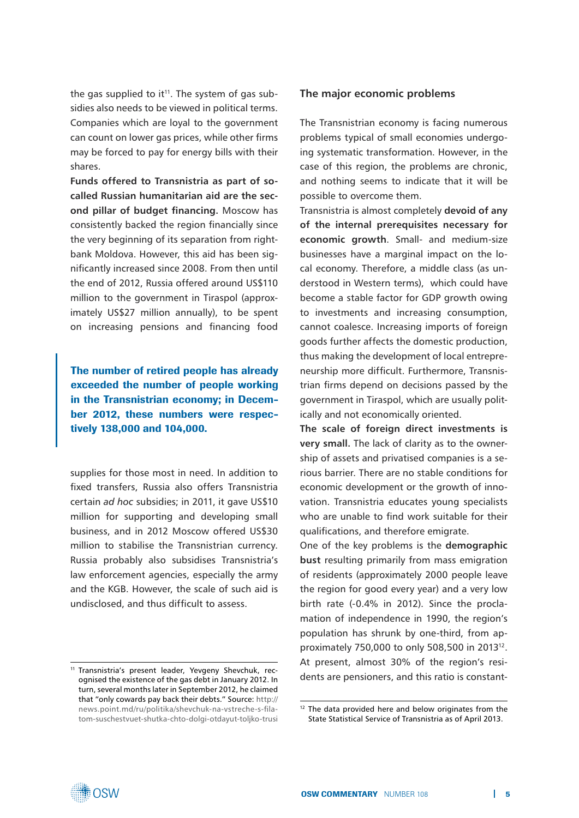the gas supplied to it<sup>11</sup>. The system of gas subsidies also needs to be viewed in political terms. Companies which are loyal to the government can count on lower gas prices, while other firms may be forced to pay for energy bills with their shares.

**Funds offered to Transnistria as part of socalled Russian humanitarian aid are the second pillar of budget financing.** Moscow has consistently backed the region financially since the very beginning of its separation from rightbank Moldova. However, this aid has been significantly increased since 2008. From then until the end of 2012, Russia offered around US\$110 million to the government in Tiraspol (approximately US\$27 million annually), to be spent on increasing pensions and financing food

The number of retired people has already exceeded the number of people working in the Transnistrian economy; in December 2012, these numbers were respectively 138,000 and 104,000.

supplies for those most in need. In addition to fixed transfers, Russia also offers Transnistria certain *ad hoc* subsidies; in 2011, it gave US\$10 million for supporting and developing small business, and in 2012 Moscow offered US\$30 million to stabilise the Transnistrian currency. Russia probably also subsidises Transnistria's law enforcement agencies, especially the army and the KGB. However, the scale of such aid is undisclosed, and thus difficult to assess.

#### **The major economic problems**

The Transnistrian economy is facing numerous problems typical of small economies undergoing systematic transformation. However, in the case of this region, the problems are chronic, and nothing seems to indicate that it will be possible to overcome them.

Transnistria is almost completely **devoid of any of the internal prerequisites necessary for economic growth**. Small- and medium-size businesses have a marginal impact on the local economy. Therefore, a middle class (as understood in Western terms), which could have become a stable factor for GDP growth owing to investments and increasing consumption, cannot coalesce. Increasing imports of foreign goods further affects the domestic production, thus making the development of local entrepreneurship more difficult. Furthermore, Transnistrian firms depend on decisions passed by the government in Tiraspol, which are usually politically and not economically oriented.

**The scale of foreign direct investments is very small.** The lack of clarity as to the ownership of assets and privatised companies is a serious barrier. There are no stable conditions for economic development or the growth of innovation. Transnistria educates young specialists who are unable to find work suitable for their qualifications, and therefore emigrate.

One of the key problems is the **demographic bust** resulting primarily from mass emigration of residents (approximately 2000 people leave the region for good every year) and a very low birth rate (-0.4% in 2012). Since the proclamation of independence in 1990, the region's population has shrunk by one-third, from approximately 750,000 to only 508,500 in 201312. At present, almost 30% of the region's residents are pensioners, and this ratio is constant-



<sup>11</sup> Transnistria's present leader, Yevgeny Shevchuk, recognised the existence of the gas debt in January 2012. In turn, several months later in September 2012, he claimed that "only cowards pay back their debts." Source: [http://](http://news.point.md/ru/politika/shevchuk-na-vstreche-s-filatom-suschestvuet-shutka-chto-dolgi-otdayut-toljko-trusi) [news.point.md/ru/politika/shevchuk-na-vstreche-s-fila](http://news.point.md/ru/politika/shevchuk-na-vstreche-s-filatom-suschestvuet-shutka-chto-dolgi-otdayut-toljko-trusi)[tom-suschestvuet-shutka-chto-dolgi-otdayut-toljko-trusi](http://news.point.md/ru/politika/shevchuk-na-vstreche-s-filatom-suschestvuet-shutka-chto-dolgi-otdayut-toljko-trusi)

 $12$  The data provided here and below originates from the State Statistical Service of Transnistria as of April 2013.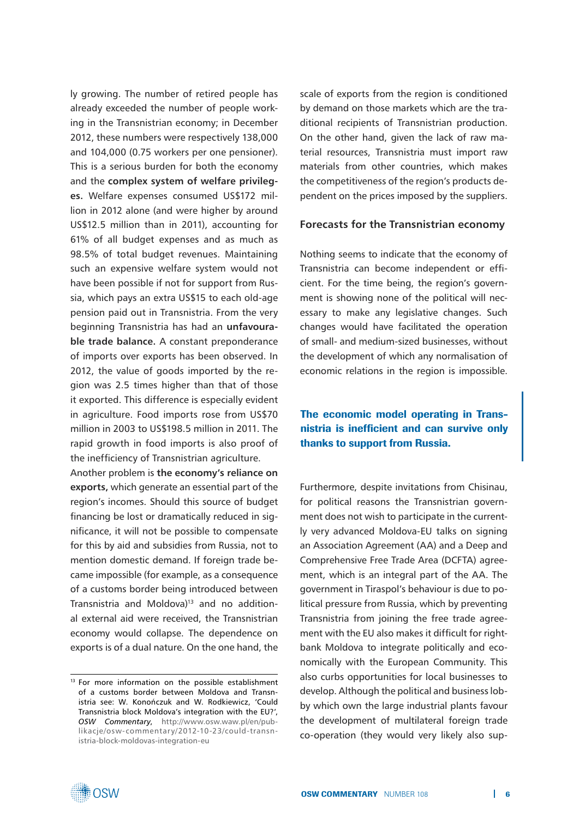ly growing. The number of retired people has already exceeded the number of people working in the Transnistrian economy; in December 2012, these numbers were respectively 138,000 and 104,000 (0.75 workers per one pensioner). This is a serious burden for both the economy and the **complex system of welfare privileges.** Welfare expenses consumed US\$172 million in 2012 alone (and were higher by around US\$12.5 million than in 2011), accounting for 61% of all budget expenses and as much as 98.5% of total budget revenues. Maintaining such an expensive welfare system would not have been possible if not for support from Russia, which pays an extra US\$15 to each old-age pension paid out in Transnistria. From the very beginning Transnistria has had an **unfavourable trade balance.** A constant preponderance of imports over exports has been observed. In 2012, the value of goods imported by the region was 2.5 times higher than that of those it exported. This difference is especially evident in agriculture. Food imports rose from US\$70 million in 2003 to US\$198.5 million in 2011. The rapid growth in food imports is also proof of the inefficiency of Transnistrian agriculture.

Another problem is **the economy's reliance on exports,** which generate an essential part of the region's incomes. Should this source of budget financing be lost or dramatically reduced in significance, it will not be possible to compensate for this by aid and subsidies from Russia, not to mention domestic demand. If foreign trade became impossible (for example, as a consequence of a customs border being introduced between Transnistria and Moldova)<sup>13</sup> and no additional external aid were received, the Transnistrian economy would collapse. The dependence on exports is of a dual nature. On the one hand, the scale of exports from the region is conditioned by demand on those markets which are the traditional recipients of Transnistrian production. On the other hand, given the lack of raw material resources, Transnistria must import raw materials from other countries, which makes the competitiveness of the region's products dependent on the prices imposed by the suppliers.

#### **Forecasts for the Transnistrian economy**

Nothing seems to indicate that the economy of Transnistria can become independent or efficient. For the time being, the region's government is showing none of the political will necessary to make any legislative changes. Such changes would have facilitated the operation of small- and medium-sized businesses, without the development of which any normalisation of economic relations in the region is impossible.

# The economic model operating in Transnistria is inefficient and can survive only thanks to support from Russia.

Furthermore, despite invitations from Chisinau, for political reasons the Transnistrian government does not wish to participate in the currently very advanced Moldova-EU talks on signing an Association Agreement (AA) and a Deep and Comprehensive Free Trade Area (DCFTA) agreement, which is an integral part of the AA. The government in Tiraspol's behaviour is due to political pressure from Russia, which by preventing Transnistria from joining the free trade agreement with the EU also makes it difficult for rightbank Moldova to integrate politically and economically with the European Community. This also curbs opportunities for local businesses to develop. Although the political and business lobby which own the large industrial plants favour the development of multilateral foreign trade co-operation (they would very likely also sup-



<sup>&</sup>lt;sup>13</sup> For more information on the possible establishment of a customs border between Moldova and Transnistria see: W. Konończuk and W. Rodkiewicz, 'Could Transnistria block Moldova's integration with the EU?', *OSW Commentary*, [http://www.osw.waw.pl/en/pub](http://www.osw.waw.pl/en/publikacje/osw-commentary/2012-10-23/could-transnistria-block-moldovas-integration-eu)[likacje/osw-commentary/2012-10-23/could-transn](http://www.osw.waw.pl/en/publikacje/osw-commentary/2012-10-23/could-transnistria-block-moldovas-integration-eu)[istria-block-moldovas-integration-eu](http://www.osw.waw.pl/en/publikacje/osw-commentary/2012-10-23/could-transnistria-block-moldovas-integration-eu)